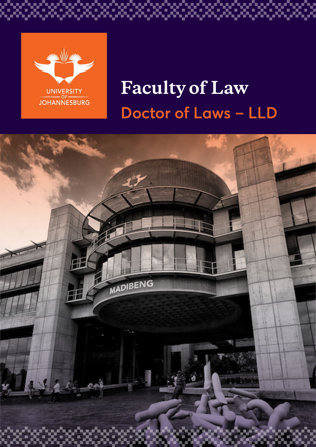

ζ. Oud

# **Faculty of Law Doctor of Laws – LLD**

\*\*\*\*\*\*\*\*\*\*\*\*\*\*\*\*\*\*\*

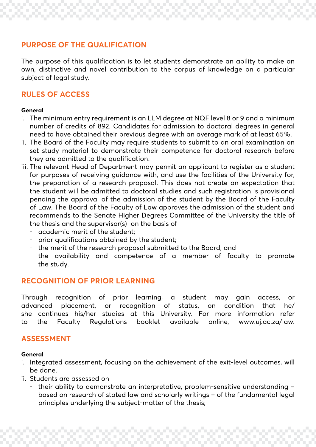## **PURPOSE OF THE QUALIFICATION**

The purpose of this qualification is to let students demonstrate an ability to make an own, distinctive and novel contribution to the corpus of knowledge on a particular subject of legal study.

## **RULES OF ACCESS**

#### **General**

- i. The minimum entry requirement is an LLM degree at NQF level 8 or 9 and a minimum number of credits of 892. Candidates for admission to doctoral degrees in general need to have obtained their previous degree with an average mark of at least 65%.
- ii. The Board of the Faculty may require students to submit to an oral examination on set study material to demonstrate their competence for doctoral research before they are admitted to the qualification.
- iii. The relevant Head of Department may permit an applicant to register as a student for purposes of receiving guidance with, and use the facilities of the University for, the preparation of a research proposal. This does not create an expectation that the student will be admitted to doctoral studies and such registration is provisional pending the approval of the admission of the student by the Board of the Faculty of Law. The Board of the Faculty of Law approves the admission of the student and recommends to the Senate Higher Degrees Committee of the University the title of the thesis and the supervisor(s) on the basis of
	- academic merit of the student;
	- prior qualifications obtained by the student;
	- the merit of the research proposal submitted to the Board; and
	- the availability and competence of a member of faculty to promote the study.

## **RECOGNITION OF PRIOR LEARNING**

Through recognition of prior learning, a student may gain access, or advanced placement, or recognition of status, on condition that he/ she continues his/her studies at this University. For more information refer to the Faculty Regulations booklet available online, www.uj.ac.za/law.

## **ASSESSMENT**

#### **General**

- i. Integrated assessment, focusing on the achievement of the exit-level outcomes, will be done.
- ii. Students are assessed on
	- their ability to demonstrate an interpretative, problem-sensitive understanding based on research of stated law and scholarly writings – of the fundamental legal principles underlying the subject-matter of the thesis;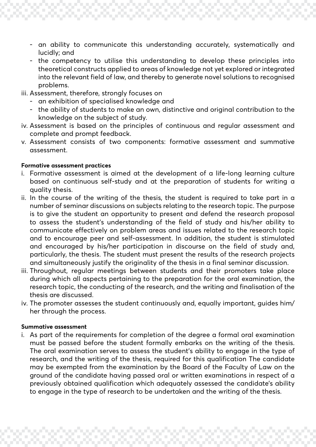- an ability to communicate this understanding accurately, systematically and lucidly; and
- the competency to utilise this understanding to develop these principles into theoretical constructs applied to areas of knowledge not yet explored or integrated into the relevant field of law, and thereby to generate novel solutions to recognised problems.
- iii. Assessment, therefore, strongly focuses on
	- an exhibition of specialised knowledge and
	- the ability of students to make an own, distinctive and original contribution to the knowledge on the subject of study.
- iv. Assessment is based on the principles of continuous and regular assessment and complete and prompt feedback.
- v. Assessment consists of two components: formative assessment and summative assessment.

#### **Formative assessment practices**

- i. Formative assessment is aimed at the development of a life-long learning culture based on continuous self-study and at the preparation of students for writing a quality thesis.
- ii. In the course of the writing of the thesis, the student is required to take part in a number of seminar discussions on subjects relating to the research topic. The purpose is to give the student an opportunity to present and defend the research proposal to assess the student's understanding of the field of study and his/her ability to communicate effectively on problem areas and issues related to the research topic and to encourage peer and self-assessment. In addition, the student is stimulated and encouraged by his/her participation in discourse on the field of study and, particularly, the thesis. The student must present the results of the research projects and simultaneously justify the originality of the thesis in a final seminar discussion.
- iii. Throughout, regular meetings between students and their promoters take place during which all aspects pertaining to the preparation for the oral examination, the research topic, the conducting of the research, and the writing and finalisation of the thesis are discussed.
- iv. The promoter assesses the student continuously and, equally important, guides him/ her through the process.

#### **Summative assessment**

i. As part of the requirements for completion of the degree a formal oral examination must be passed before the student formally embarks on the writing of the thesis. The oral examination serves to assess the student's ability to engage in the type of research, and the writing of the thesis, required for this qualification The candidate may be exempted from the examination by the Board of the Faculty of Law on the ground of the candidate having passed oral or written examinations in respect of a previously obtained qualification which adequately assessed the candidate's ability to engage in the type of research to be undertaken and the writing of the thesis.